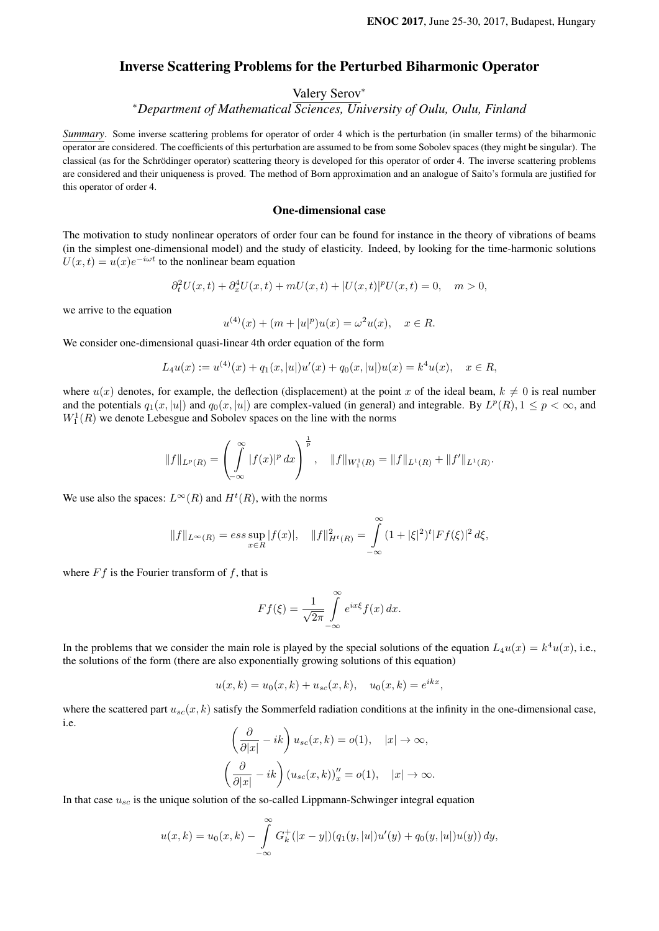## Inverse Scattering Problems for the Perturbed Biharmonic Operator

# Valery Serov<sup>∗</sup>

<sup>∗</sup>*Department of Mathematical Sciences, University of Oulu, Oulu, Finland*

*Summary*. Some inverse scattering problems for operator of order 4 which is the perturbation (in smaller terms) of the biharmonic operator are considered. The coefficients of this perturbation are assumed to be from some Sobolev spaces (they might be singular). The classical (as for the Schrödinger operator) scattering theory is developed for this operator of order 4. The inverse scattering problems are considered and their uniqueness is proved. The method of Born approximation and an analogue of Saito's formula are justified for this operator of order 4.

#### One-dimensional case

The motivation to study nonlinear operators of order four can be found for instance in the theory of vibrations of beams (in the simplest one-dimensional model) and the study of elasticity. Indeed, by looking for the time-harmonic solutions  $U(x,t) = u(x)e^{-i\omega t}$  to the nonlinear beam equation

$$
\partial_t^2 U(x,t) + \partial_x^4 U(x,t) + mU(x,t) + |U(x,t)|^p U(x,t) = 0, \quad m > 0,
$$

we arrive to the equation

$$
u^{(4)}(x) + (m + |u|^p)u(x) = \omega^2 u(x), \quad x \in R.
$$

We consider one-dimensional quasi-linear 4th order equation of the form

$$
L_4u(x) := u^{(4)}(x) + q_1(x, |u|)u'(x) + q_0(x, |u|)u(x) = k^4u(x), \quad x \in R,
$$

where  $u(x)$  denotes, for example, the deflection (displacement) at the point x of the ideal beam,  $k \neq 0$  is real number and the potentials  $q_1(x, |u|)$  and  $q_0(x, |u|)$  are complex-valued (in general) and integrable. By  $L^p(R)$ ,  $1 \le p < \infty$ , and  $W_1^1(R)$  we denote Lebesgue and Sobolev spaces on the line with the norms

$$
||f||_{L^p(R)} = \left(\int_{-\infty}^{\infty} |f(x)|^p dx\right)^{\frac{1}{p}}, \quad ||f||_{W_1^1(R)} = ||f||_{L^1(R)} + ||f'||_{L^1(R)}.
$$

We use also the spaces:  $L^{\infty}(R)$  and  $H^t(R)$ , with the norms

$$
||f||_{L^{\infty}(R)} = \operatorname{ess} \sup_{x \in R} |f(x)|, \quad ||f||_{H^{t}(R)}^{2} = \int_{-\infty}^{\infty} (1 + |\xi|^{2})^{t} |Ff(\xi)|^{2} d\xi,
$$

where  $Ff$  is the Fourier transform of f, that is

$$
Ff(\xi) = \frac{1}{\sqrt{2\pi}} \int_{-\infty}^{\infty} e^{ix\xi} f(x) dx.
$$

In the problems that we consider the main role is played by the special solutions of the equation  $L_4u(x) = k^4u(x)$ , i.e., the solutions of the form (there are also exponentially growing solutions of this equation)

$$
u(x,k) = u_0(x,k) + u_{sc}(x,k), \quad u_0(x,k) = e^{ikx},
$$

where the scattered part  $u_{sc}(x, k)$  satisfy the Sommerfeld radiation conditions at the infinity in the one-dimensional case, i.e.

$$
\left(\frac{\partial}{\partial |x|} - ik\right) u_{sc}(x, k) = o(1), \quad |x| \to \infty,
$$

$$
\left(\frac{\partial}{\partial |x|} - ik\right) (u_{sc}(x, k))_x'' = o(1), \quad |x| \to \infty.
$$

In that case  $u_{sc}$  is the unique solution of the so-called Lippmann-Schwinger integral equation

$$
u(x,k) = u_0(x,k) - \int_{-\infty}^{\infty} G_k^+(|x-y|)(q_1(y,|u|)u'(y) + q_0(y,|u|)u(y)) dy,
$$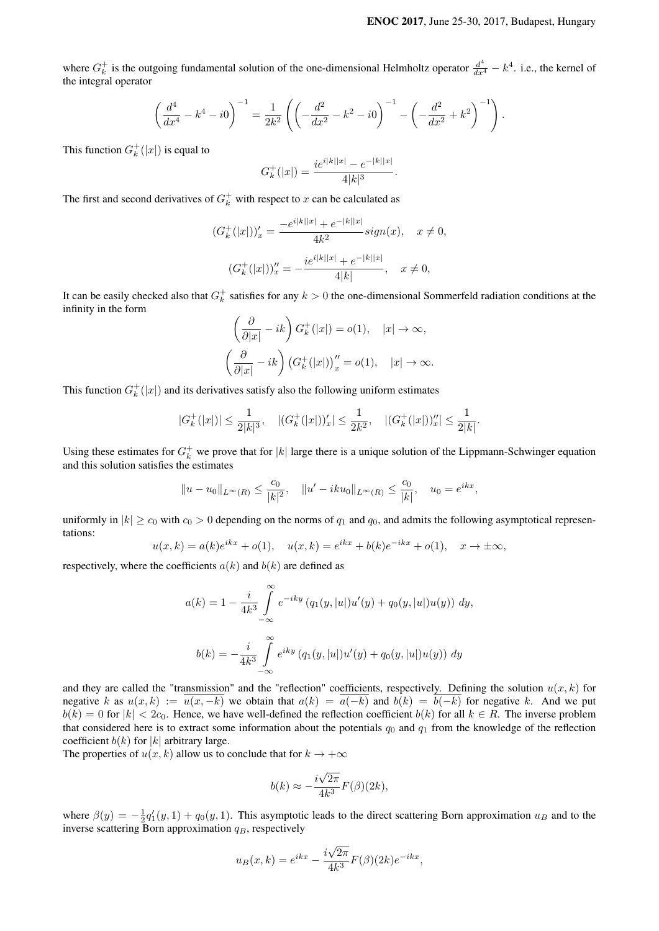where  $G_k^+$  is the outgoing fundamental solution of the one-dimensional Helmholtz operator  $\frac{d^4}{dx^4} - k^4$ . i.e., the kernel of the integral operator

$$
\left(\frac{d^4}{dx^4} - k^4 - i0\right)^{-1} = \frac{1}{2k^2} \left( \left(-\frac{d^2}{dx^2} - k^2 - i0\right)^{-1} - \left(-\frac{d^2}{dx^2} + k^2\right)^{-1} \right).
$$

This function  $G_k^+(x)$  is equal to

$$
G_k^+(|x|) = \frac{ie^{i|k||x|} - e^{-|k||x|}}{4|k|^3}.
$$

The first and second derivatives of  $G_k^+$  with respect to x can be calculated as

$$
(G_k^+(|x|))_x' = \frac{-e^{i|k||x|} + e^{-|k||x|}}{4k^2} sign(x), \quad x \neq 0,
$$
  

$$
(G_k^+(|x|))_x'' = -\frac{ie^{i|k||x|} + e^{-|k||x|}}{4|k|}, \quad x \neq 0,
$$

It can be easily checked also that  $G_k^+$  satisfies for any  $k > 0$  the one-dimensional Sommerfeld radiation conditions at the infinity in the form

$$
\left(\frac{\partial}{\partial |x|} - ik\right) G_k^+(|x|) = o(1), \quad |x| \to \infty,
$$

$$
\left(\frac{\partial}{\partial |x|} - ik\right) \left(G_k^+(|x|)\right)_x' = o(1), \quad |x| \to \infty.
$$

This function  $G_k^+(x)$  and its derivatives satisfy also the following uniform estimates

$$
|G^+_k(|x|)|\leq \frac{1}{2|k|^3},\quad |(G^+_k(|x|))'_x|\leq \frac{1}{2k^2},\quad |(G^+_k(|x|))''_x|\leq \frac{1}{2|k|}.
$$

Using these estimates for  $G_k^+$  we prove that for  $|k|$  large there is a unique solution of the Lippmann-Schwinger equation and this solution satisfies the estimates

$$
||u - u_0||_{L^{\infty}(R)} \le \frac{c_0}{|k|^2}
$$
,  $||u' - iku_0||_{L^{\infty}(R)} \le \frac{c_0}{|k|}$ ,  $u_0 = e^{ikx}$ ,

uniformly in  $|k| \ge c_0$  with  $c_0 > 0$  depending on the norms of  $q_1$  and  $q_0$ , and admits the following asymptotical representations:

$$
u(x,k) = a(k)e^{ikx} + o(1), \quad u(x,k) = e^{ikx} + b(k)e^{-ikx} + o(1), \quad x \to \pm \infty,
$$

respectively, where the coefficients  $a(k)$  and  $b(k)$  are defined as

$$
a(k) = 1 - \frac{i}{4k^3} \int_{-\infty}^{\infty} e^{-iky} (q_1(y, |u|)u'(y) + q_0(y, |u|)u(y)) dy,
$$
  

$$
b(k) = -\frac{i}{4k^3} \int_{-\infty}^{\infty} e^{iky} (q_1(y, |u|)u'(y) + q_0(y, |u|)u(y)) dy
$$

and they are called the "transmission" and the "reflection" coefficients, respectively. Defining the solution  $u(x, k)$  for negative k as  $u(x, k) := \overline{u(x, -k)}$  we obtain that  $a(k) = \overline{a(-k)}$  and  $b(k) = \overline{b(-k)}$  for negative k. And we put  $b(k) = 0$  for  $|k| < 2c_0$ . Hence, we have well-defined the reflection coefficient  $b(k)$  for all  $k \in R$ . The inverse problem that considered here is to extract some information about the potentials  $q_0$  and  $q_1$  from the knowledge of the reflection coefficient  $b(k)$  for |k| arbitrary large.

The properties of  $u(x, k)$  allow us to conclude that for  $k \to +\infty$ 

$$
b(k) \approx -\frac{i\sqrt{2\pi}}{4k^3} F(\beta)(2k),
$$

where  $\beta(y) = -\frac{1}{2}q'_1(y,1) + q_0(y,1)$ . This asymptotic leads to the direct scattering Born approximation  $u_B$  and to the inverse scattering Born approximation  $q_B$ , respectively

$$
u_B(x,k) = e^{ikx} - \frac{i\sqrt{2\pi}}{4k^3} F(\beta)(2k) e^{-ikx},
$$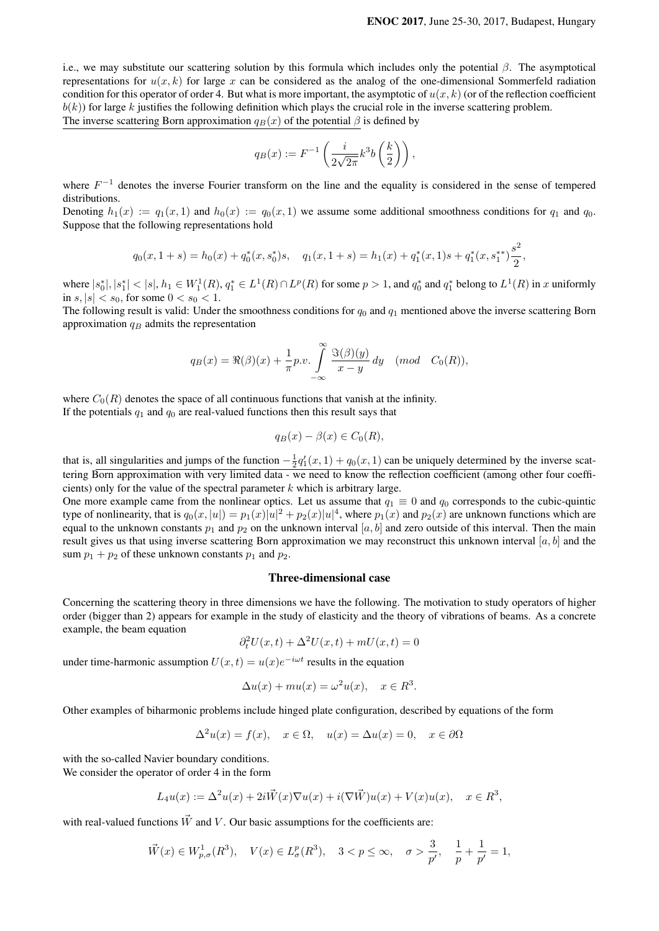i.e., we may substitute our scattering solution by this formula which includes only the potential  $\beta$ . The asymptotical representations for  $u(x, k)$  for large x can be considered as the analog of the one-dimensional Sommerfeld radiation condition for this operator of order 4. But what is more important, the asymptotic of  $u(x, k)$  (or of the reflection coefficient  $b(k)$ ) for large k justifies the following definition which plays the crucial role in the inverse scattering problem. The inverse scattering Born approximation  $q_B(x)$  of the potential  $\beta$  is defined by

$$
q_B(x) := F^{-1}\left(\frac{i}{2\sqrt{2\pi}}k^3b\left(\frac{k}{2}\right)\right),\,
$$

where  $F^{-1}$  denotes the inverse Fourier transform on the line and the equality is considered in the sense of tempered distributions.

Denoting  $h_1(x) := q_1(x, 1)$  and  $h_0(x) := q_0(x, 1)$  we assume some additional smoothness conditions for  $q_1$  and  $q_0$ . Suppose that the following representations hold

$$
q_0(x, 1+s) = h_0(x) + q_0^*(x, s_0^*)s, \quad q_1(x, 1+s) = h_1(x) + q_1^*(x, 1)s + q_1^*(x, s_1^{**})\frac{s^2}{2},
$$

where  $|s_0^*|, |s_1^*| < |s|, h_1 \in W_1^1(R), q_1^* \in L^1(R) \cap L^p(R)$  for some  $p > 1$ , and  $q_0^*$  and  $q_1^*$  belong to  $L^1(R)$  in x uniformly in  $s, |s| < s_0$ , for some  $0 < s_0 < 1$ .

The following result is valid: Under the smoothness conditions for  $q_0$  and  $q_1$  mentioned above the inverse scattering Born approximation  $q_B$  admits the representation

$$
q_B(x) = \Re(\beta)(x) + \frac{1}{\pi}p.v.\int_{-\infty}^{\infty} \frac{\Im(\beta)(y)}{x-y} dy \pmod{C_0(R)},
$$

where  $C_0(R)$  denotes the space of all continuous functions that vanish at the infinity. If the potentials  $q_1$  and  $q_0$  are real-valued functions then this result says that

$$
q_B(x) - \beta(x) \in C_0(R),
$$

that is, all singularities and jumps of the function  $-\frac{1}{2}q'_1(x,1) + q_0(x,1)$  can be uniquely determined by the inverse scattering Born approximation with very limited data - we need to know the reflection coefficient (among other four coefficients) only for the value of the spectral parameter  $k$  which is arbitrary large.

One more example came from the nonlinear optics. Let us assume that  $q_1 \equiv 0$  and  $q_0$  corresponds to the cubic-quintic type of nonlinearity, that is  $q_0(x,|u|)=p_1(x)|u|^2+p_2(x)|u|^4$ , where  $p_1(x)$  and  $p_2(x)$  are unknown functions which are equal to the unknown constants  $p_1$  and  $p_2$  on the unknown interval  $[a, b]$  and zero outside of this interval. Then the main result gives us that using inverse scattering Born approximation we may reconstruct this unknown interval  $[a, b]$  and the sum  $p_1 + p_2$  of these unknown constants  $p_1$  and  $p_2$ .

### Three-dimensional case

Concerning the scattering theory in three dimensions we have the following. The motivation to study operators of higher order (bigger than 2) appears for example in the study of elasticity and the theory of vibrations of beams. As a concrete example, the beam equation

$$
\partial_t^2 U(x,t) + \Delta^2 U(x,t) + mU(x,t) = 0
$$

under time-harmonic assumption  $U(x,t) = u(x)e^{-i\omega t}$  results in the equation

$$
\Delta u(x) + mu(x) = \omega^2 u(x), \quad x \in \mathbb{R}^3
$$

.

Other examples of biharmonic problems include hinged plate configuration, described by equations of the form

$$
\Delta^2 u(x) = f(x), \quad x \in \Omega, \quad u(x) = \Delta u(x) = 0, \quad x \in \partial \Omega
$$

with the so-called Navier boundary conditions. We consider the operator of order 4 in the form

$$
L_4u(x) := \Delta^2 u(x) + 2i\vec{W}(x)\nabla u(x) + i(\nabla \vec{W})u(x) + V(x)u(x), \quad x \in \mathbb{R}^3,
$$

with real-valued functions  $\vec{W}$  and V. Our basic assumptions for the coefficients are:

$$
\vec{W}(x) \in W_{p,\sigma}^1(R^3), \quad V(x) \in L^p_{\sigma}(R^3), \quad 3 < p \le \infty, \quad \sigma > \frac{3}{p'}, \quad \frac{1}{p} + \frac{1}{p'} = 1,
$$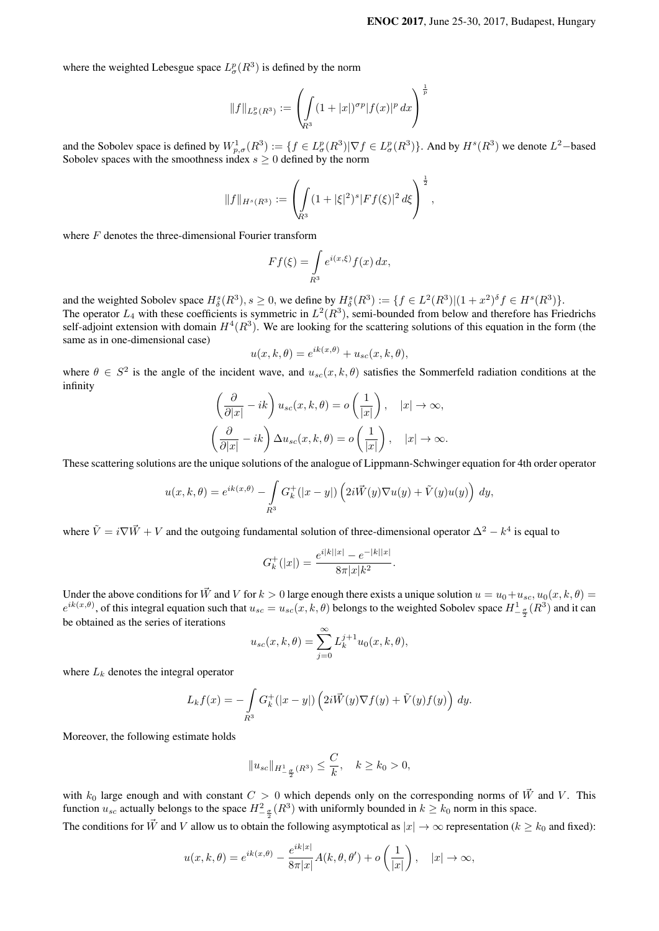where the weighted Lebesgue space  $L^p_{\sigma}(R^3)$  is defined by the norm

$$
||f||_{L^p_{\sigma}(R^3)} := \left(\int_{R^3} (1+|x|)^{\sigma p} |f(x)|^p dx\right)^{\frac{1}{p}}
$$

and the Sobolev space is defined by  $W_{p,\sigma}^1(R^3) := \{f \in L^p_\sigma(R^3) | \nabla f \in L^p_\sigma(R^3)\}$ . And by  $H^s(R^3)$  we denote  $L^2$ –based Sobolev spaces with the smoothness index  $s \geq 0$  defined by the norm

$$
||f||_{H^s(R^3)} := \left(\int_{R^3} (1+|\xi|^2)^s |Ff(\xi)|^2 d\xi\right)^{\frac{1}{2}},
$$

where  $F$  denotes the three-dimensional Fourier transform

$$
Ff(\xi) = \int\limits_{R^3} e^{i(x,\xi)} f(x) \, dx,
$$

and the weighted Sobolev space  $H^s_\delta(R^3), s \ge 0$ , we define by  $H^s_\delta(R^3) := \{ f \in L^2(R^3) | (1+x^2)^\delta f \in H^s(R^3) \}.$ 

The operator  $L_4$  with these coefficients is symmetric in  $L^2(R^3)$ , semi-bounded from below and therefore has Friedrichs self-adjoint extension with domain  $H^4(R^3)$ . We are looking for the scattering solutions of this equation in the form (the same as in one-dimensional case)

$$
u(x, k, \theta) = e^{ik(x, \theta)} + u_{sc}(x, k, \theta),
$$

where  $\theta \in S^2$  is the angle of the incident wave, and  $u_{sc}(x, k, \theta)$  satisfies the Sommerfeld radiation conditions at the infinity

$$
\left(\frac{\partial}{\partial |x|} - ik\right) u_{sc}(x, k, \theta) = o\left(\frac{1}{|x|}\right), \quad |x| \to \infty,
$$

$$
\left(\frac{\partial}{\partial |x|} - ik\right) \Delta u_{sc}(x, k, \theta) = o\left(\frac{1}{|x|}\right), \quad |x| \to \infty.
$$

These scattering solutions are the unique solutions of the analogue of Lippmann-Schwinger equation for 4th order operator

$$
u(x,k,\theta) = e^{ik(x,\theta)} - \int\limits_{R^3} G_k^+(|x-y|) \left(2i\vec{W}(y)\nabla u(y) + \tilde{V}(y)u(y)\right) dy,
$$

where  $\tilde{V} = i \nabla \vec{W} + V$  and the outgoing fundamental solution of three-dimensional operator  $\Delta^2 - k^4$  is equal to

$$
G_k^+(|x|) = \frac{e^{i|k||x|} - e^{-|k||x|}}{8\pi |x|k^2}.
$$

Under the above conditions for  $\vec{W}$  and V for  $k > 0$  large enough there exists a unique solution  $u = u_0 + u_{sc}$ ,  $u_0(x, k, \theta) =$  $e^{ik(x,\theta)}$ , of this integral equation such that  $u_{sc} = u_{sc}(x, k, \theta)$  belongs to the weighted Sobolev space  $H^1_{-\frac{\sigma}{2}}(R^3)$  and it can be obtained as the series of iterations

$$
u_{sc}(x,k,\theta) = \sum_{j=0}^{\infty} L_k^{j+1} u_0(x,k,\theta),
$$

where  $L_k$  denotes the integral operator

$$
L_k f(x) = -\int\limits_{R^3} G_k^+(|x-y|) \left(2i\vec{W}(y)\nabla f(y) + \tilde{V}(y)f(y)\right) dy.
$$

Moreover, the following estimate holds

$$
||u_{sc}||_{H_{-\frac{\sigma}{2}}^1(R^3)} \leq \frac{C}{k}, \quad k \geq k_0 > 0,
$$

with  $k_0$  large enough and with constant  $C > 0$  which depends only on the corresponding norms of  $\vec{W}$  and V. This function  $u_{sc}$  actually belongs to the space  $H_{-\frac{\sigma}{2}}^2(R^3)$  with uniformly bounded in  $k \ge k_0$  norm in this space. The conditions for  $\vec{W}$  and V allow us to obtain the following asymptotical as  $|x| \to \infty$  representation ( $k \geq k_0$  and fixed):

$$
u(x,k,\theta) = e^{ik(x,\theta)} - \frac{e^{ik|x|}}{8\pi|x|} A(k,\theta,\theta') + o\left(\frac{1}{|x|}\right), \quad |x| \to \infty,
$$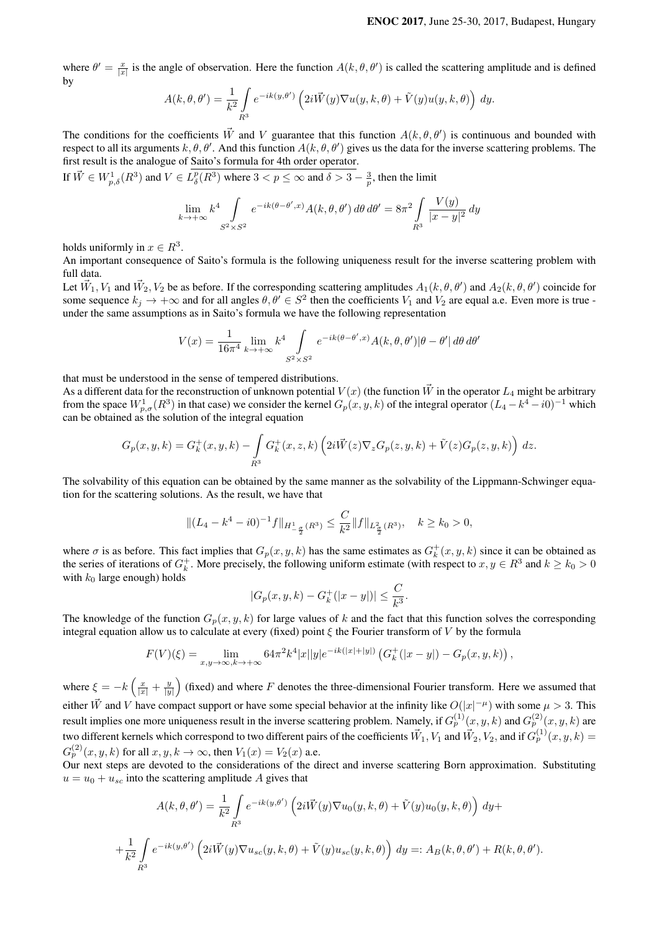where  $\theta' = \frac{x}{|x|}$  is the angle of observation. Here the function  $A(k, \theta, \theta')$  is called the scattering amplitude and is defined by

$$
A(k, \theta, \theta') = \frac{1}{k^2} \int_{R^3} e^{-ik(y, \theta')} \left( 2i \vec{W}(y) \nabla u(y, k, \theta) + \tilde{V}(y) u(y, k, \theta) \right) dy.
$$

The conditions for the coefficients  $\vec{W}$  and V guarantee that this function  $A(k, \theta, \theta')$  is continuous and bounded with respect to all its arguments  $k, \theta, \theta'$ . And this function  $A(k, \theta, \theta')$  gives us the data for the inverse scattering problems. The first result is the analogue of Saito's formula for 4th order operator.

If  $\vec{W} \in W_{p,\delta}^1(R^3)$  and  $V \in L^p_{\delta}(R^3)$  where  $3 < p \le \infty$  and  $\delta > 3 - \frac{3}{p}$ , then the limit

$$
\lim_{k \to +\infty} k^4 \int_{S^2 \times S^2} e^{-ik(\theta - \theta', x)} A(k, \theta, \theta') d\theta d\theta' = 8\pi^2 \int_{R^3} \frac{V(y)}{|x - y|^2} dy
$$

holds uniformly in  $x \in R^3$ .

An important consequence of Saito's formula is the following uniqueness result for the inverse scattering problem with full data.

Let  $\vec{W}_1, V_1$  and  $\vec{W}_2, V_2$  be as before. If the corresponding scattering amplitudes  $A_1(k, \theta, \theta')$  and  $A_2(k, \theta, \theta')$  coincide for some sequence  $k_j \to +\infty$  and for all angles  $\theta, \theta' \in S^2$  then the coefficients  $V_1$  and  $V_2$  are equal a.e. Even more is true under the same assumptions as in Saito's formula we have the following representation

$$
V(x) = \frac{1}{16\pi^4} \lim_{k \to +\infty} k^4 \int_{S^2 \times S^2} e^{-ik(\theta - \theta', x)} A(k, \theta, \theta') |\theta - \theta'| d\theta d\theta'
$$

that must be understood in the sense of tempered distributions.

As a different data for the reconstruction of unknown potential  $V(x)$  (the function  $\vec{W}$  in the operator  $L_4$  might be arbitrary from the space  $W_{p,\sigma}^1(R^3)$  in that case) we consider the kernel  $G_p(x,y,k)$  of the integral operator  $(L_4-k^4-i0)^{-1}$  which can be obtained as the solution of the integral equation

$$
G_p(x,y,k)=G_k^+(x,y,k)-\int\limits_{R^3}G_k^+(x,z,k)\left(2i\vec{W}(z)\nabla_zG_p(z,y,k)+\tilde{V}(z)G_p(z,y,k)\right)\,dz.
$$

The solvability of this equation can be obtained by the same manner as the solvability of the Lippmann-Schwinger equation for the scattering solutions. As the result, we have that

$$
\|(L_4 - k^4 - i0)^{-1}f\|_{H_{-\frac{\sigma}{2}}^1(R^3)} \le \frac{C}{k^2} \|f\|_{L_{\frac{\sigma}{2}}^2(R^3)}, \quad k \ge k_0 > 0,
$$

where  $\sigma$  is as before. This fact implies that  $G_p(x, y, k)$  has the same estimates as  $G_k^+(x, y, k)$  since it can be obtained as the series of iterations of  $G_k^+$ . More precisely, the following uniform estimate (with respect to  $x, y \in R^3$  and  $k \ge k_0 > 0$ with  $k_0$  large enough) holds

$$
|G_p(x, y, k) - G_k^+(x - y|)| \le \frac{C}{k^3}.
$$

The knowledge of the function  $G_p(x, y, k)$  for large values of k and the fact that this function solves the corresponding integral equation allow us to calculate at every (fixed) point  $\xi$  the Fourier transform of V by the formula

$$
F(V)(\xi) = \lim_{x,y \to \infty, k \to +\infty} 64\pi^2 k^4 |x||y| e^{-ik(|x|+|y|)} \left( G_k^+(|x-y|) - G_p(x,y,k) \right),
$$

where  $\xi = -k\left(\frac{x}{|x|} + \frac{y}{|y|}\right)$  (fixed) and where F denotes the three-dimensional Fourier transform. Here we assumed that either  $\vec{W}$  and V have compact support or have some special behavior at the infinity like  $O(|x|^{-\mu})$  with some  $\mu > 3$ . This result implies one more uniqueness result in the inverse scattering problem. Namely, if  $G_p^{(1)}(x,y,k)$  and  $G_p^{(2)}(x,y,k)$  are two different kernels which correspond to two different pairs of the coefficients  $\vec{W}_1,V_1$  and  $\vec{W}_2,V_2,$  and if  $G^{(1)}_p(x,y,k)$   $=$  $G_p^{(2)}(x, y, k)$  for all  $x, y, k \to \infty$ , then  $V_1(x) = V_2(x)$  a.e.

Our next steps are devoted to the considerations of the direct and inverse scattering Born approximation. Substituting  $u = u_0 + u_{sc}$  into the scattering amplitude A gives that

$$
A(k, \theta, \theta') = \frac{1}{k^2} \int_{R^3} e^{-ik(y, \theta')} \left( 2i\vec{W}(y) \nabla u_0(y, k, \theta) + \tilde{V}(y) u_0(y, k, \theta) \right) dy +
$$
  
+ 
$$
\frac{1}{k^2} \int_{R^3} e^{-ik(y, \theta')} \left( 2i\vec{W}(y) \nabla u_{sc}(y, k, \theta) + \tilde{V}(y) u_{sc}(y, k, \theta) \right) dy =: A_B(k, \theta, \theta') + R(k, \theta, \theta').
$$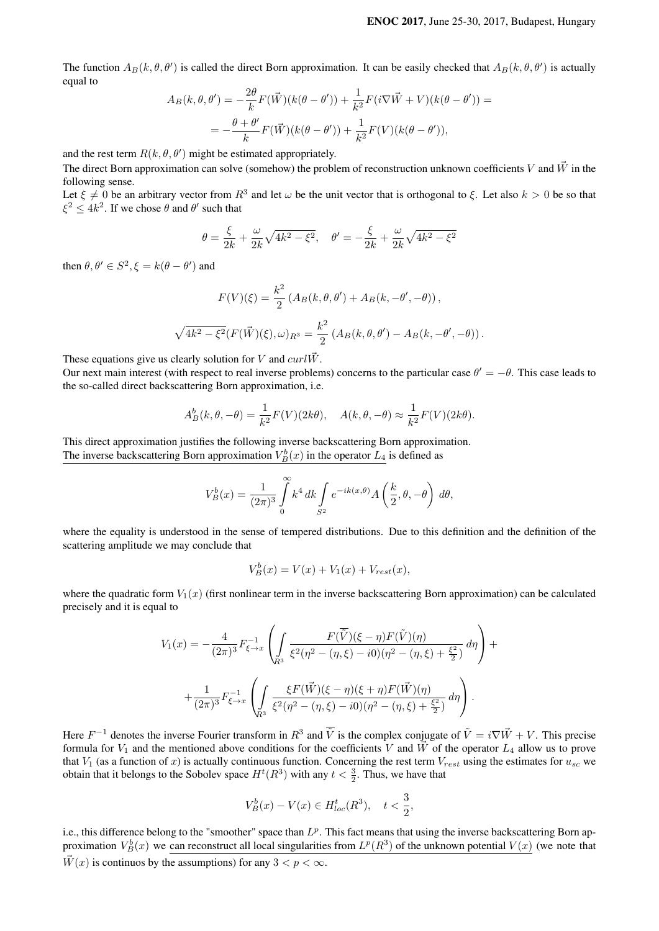The function  $A_B(k, \theta, \theta')$  is called the direct Born approximation. It can be easily checked that  $A_B(k, \theta, \theta')$  is actually equal to

$$
A_B(k, \theta, \theta') = -\frac{2\theta}{k} F(\vec{W}) (k(\theta - \theta')) + \frac{1}{k^2} F(i \nabla \vec{W} + V)(k(\theta - \theta')) =
$$
  
= 
$$
-\frac{\theta + \theta'}{k} F(\vec{W}) (k(\theta - \theta')) + \frac{1}{k^2} F(V)(k(\theta - \theta')),
$$

and the rest term  $R(k, \theta, \theta')$  might be estimated appropriately.

The direct Born approximation can solve (somehow) the problem of reconstruction unknown coefficients V and  $\vec{W}$  in the following sense.

Let  $\xi \neq 0$  be an arbitrary vector from  $R^3$  and let  $\omega$  be the unit vector that is orthogonal to  $\xi$ . Let also  $k > 0$  be so that  $\xi^2 \leq 4k^2$ . If we chose  $\theta$  and  $\theta'$  such that

$$
\theta = \frac{\xi}{2k} + \frac{\omega}{2k} \sqrt{4k^2 - \xi^2}, \quad \theta' = -\frac{\xi}{2k} + \frac{\omega}{2k} \sqrt{4k^2 - \xi^2}
$$

then  $\theta, \theta' \in S^2, \xi = k(\theta - \theta')$  and

$$
F(V)(\xi) = \frac{k^2}{2} \left( A_B(k, \theta, \theta') + A_B(k, -\theta', -\theta) \right),
$$
  

$$
\sqrt{4k^2 - \xi^2} (F(\vec{W})(\xi), \omega)_{R^3} = \frac{k^2}{2} \left( A_B(k, \theta, \theta') - A_B(k, -\theta', -\theta) \right).
$$

These equations give us clearly solution for V and  $curl \vec{W}$ .

Our next main interest (with respect to real inverse problems) concerns to the particular case  $\theta' = -\theta$ . This case leads to the so-called direct backscattering Born approximation, i.e.

$$
A_B^b(k, \theta, -\theta) = \frac{1}{k^2} F(V)(2k\theta), \quad A(k, \theta, -\theta) \approx \frac{1}{k^2} F(V)(2k\theta).
$$

This direct approximation justifies the following inverse backscattering Born approximation. The inverse backscattering Born approximation  $V_B^b(x)$  in the operator  $L_4$  is defined as

$$
V_B^b(x) = \frac{1}{(2\pi)^3} \int_0^\infty k^4 \, dk \int_{S^2} e^{-ik(x,\theta)} A\left(\frac{k}{2}, \theta, -\theta\right) \, d\theta,
$$

where the equality is understood in the sense of tempered distributions. Due to this definition and the definition of the scattering amplitude we may conclude that

$$
V_B^b(x) = V(x) + V_1(x) + V_{rest}(x),
$$

where the quadratic form  $V_1(x)$  (first nonlinear term in the inverse backscattering Born approximation) can be calculated precisely and it is equal to

$$
V_1(x) = -\frac{4}{(2\pi)^3} F_{\xi \to x}^{-1} \left( \int_{R^3} \frac{F(\overline{\tilde{V}})(\xi - \eta) F(\tilde{V})(\eta)}{\xi^2 (\eta^2 - (\eta, \xi) - i0) (\eta^2 - (\eta, \xi) + \frac{\xi^2}{2})} d\eta \right) +
$$
  
+ 
$$
\frac{1}{(2\pi)^3} F_{\xi \to x}^{-1} \left( \int_{R^3} \frac{\xi F(\vec{W})(\xi - \eta)(\xi + \eta) F(\vec{W})(\eta)}{\xi^2 (\eta^2 - (\eta, \xi) - i0) (\eta^2 - (\eta, \xi) + \frac{\xi^2}{2})} d\eta \right).
$$

Here  $F^{-1}$  denotes the inverse Fourier transform in  $R^3$  and  $\tilde{V}$  is the complex conjugate of  $\tilde{V} = i \nabla \vec{W} + V$ . This precise formula for  $V_1$  and the mentioned above conditions for the coefficients V and  $\vec{W}$  of the operator  $L_4$  allow us to prove that  $V_1$  (as a function of x) is actually continuous function. Concerning the rest term  $V_{rest}$  using the estimates for  $u_{sc}$  we obtain that it belongs to the Sobolev space  $H^t(R^3)$  with any  $t < \frac{3}{2}$ . Thus, we have that

$$
V_B^b(x) - V(x) \in H_{loc}^t(R^3), \quad t < \frac{3}{2},
$$

i.e., this difference belong to the "smoother" space than  $L^p$ . This fact means that using the inverse backscattering Born approximation  $V_B^b(x)$  we can reconstruct all local singularities from  $L^p(R^3)$  of the unknown potential  $V(x)$  (we note that  $\overline{W}(x)$  is continuos by the assumptions) for any  $3 < p < \infty$ .